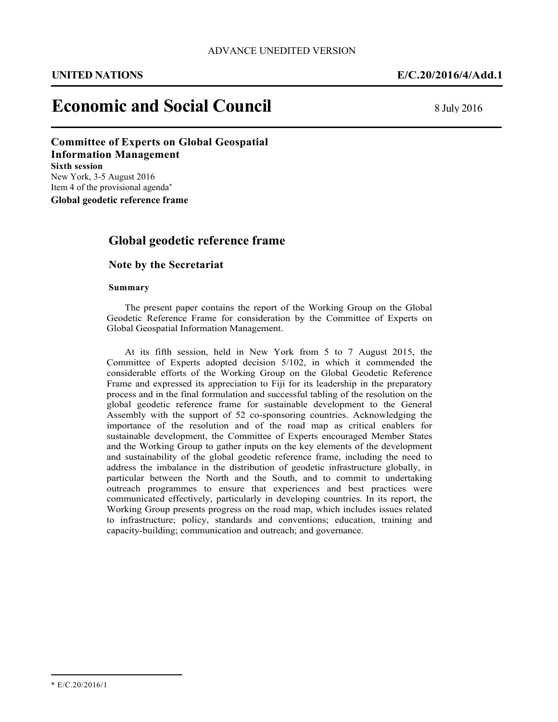֡֡֡֡

# **Economic and Social Council** 8 July 2016

#### **Committee of Experts on Global Geospatial Information Management Sixth session**

New York, 3-5 August 2016 Item 4 of the provisional agenda\*

**Global geodetic reference frame** 

## **Global geodetic reference frame**

#### **Note by the Secretariat**

#### **Summary**

The present paper contains the report of the Working Group on the Global Geodetic Reference Frame for consideration by the Committee of Experts on Global Geospatial Information Management.

At its fifth session, held in New York from 5 to 7 August 2015, the Committee of Experts adopted decision 5/102, in which it commended the considerable efforts of the Working Group on the Global Geodetic Reference Frame and expressed its appreciation to Fiji for its leadership in the preparatory process and in the final formulation and successful tabling of the resolution on the global geodetic reference frame for sustainable development to the General Assembly with the support of 52 co-sponsoring countries. Acknowledging the importance of the resolution and of the road map as critical enablers for sustainable development, the Committee of Experts encouraged Member States and the Working Group to gather inputs on the key elements of the development and sustainability of the global geodetic reference frame, including the need to address the imbalance in the distribution of geodetic infrastructure globally, in particular between the North and the South, and to commit to undertaking outreach programmes to ensure that experiences and best practices were communicated effectively, particularly in developing countries. In its report, the Working Group presents progress on the road map, which includes issues related to infrastructure; policy, standards and conventions; education, training and capacity-building; communication and outreach; and governance.

l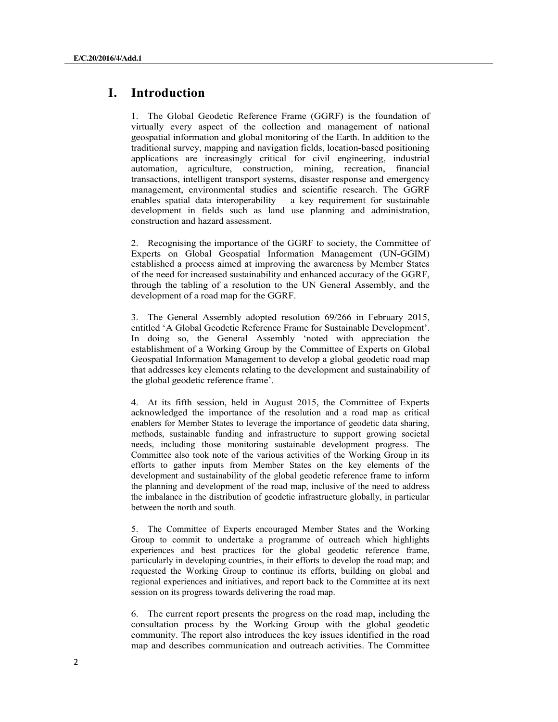## **I. Introduction**

1. The Global Geodetic Reference Frame (GGRF) is the foundation of virtually every aspect of the collection and management of national geospatial information and global monitoring of the Earth. In addition to the traditional survey, mapping and navigation fields, location-based positioning applications are increasingly critical for civil engineering, industrial automation, agriculture, construction, mining, recreation, financial transactions, intelligent transport systems, disaster response and emergency management, environmental studies and scientific research. The GGRF enables spatial data interoperability  $-$  a key requirement for sustainable development in fields such as land use planning and administration, construction and hazard assessment.

2. Recognising the importance of the GGRF to society, the Committee of Experts on Global Geospatial Information Management (UN-GGIM) established a process aimed at improving the awareness by Member States of the need for increased sustainability and enhanced accuracy of the GGRF, through the tabling of a resolution to the UN General Assembly, and the development of a road map for the GGRF.

3. The General Assembly adopted resolution 69/266 in February 2015, entitled 'A Global Geodetic Reference Frame for Sustainable Development'. In doing so, the General Assembly 'noted with appreciation the establishment of a Working Group by the Committee of Experts on Global Geospatial Information Management to develop a global geodetic road map that addresses key elements relating to the development and sustainability of the global geodetic reference frame'.

4. At its fifth session, held in August 2015, the Committee of Experts acknowledged the importance of the resolution and a road map as critical enablers for Member States to leverage the importance of geodetic data sharing, methods, sustainable funding and infrastructure to support growing societal needs, including those monitoring sustainable development progress. The Committee also took note of the various activities of the Working Group in its efforts to gather inputs from Member States on the key elements of the development and sustainability of the global geodetic reference frame to inform the planning and development of the road map, inclusive of the need to address the imbalance in the distribution of geodetic infrastructure globally, in particular between the north and south.

5. The Committee of Experts encouraged Member States and the Working Group to commit to undertake a programme of outreach which highlights experiences and best practices for the global geodetic reference frame, particularly in developing countries, in their efforts to develop the road map; and requested the Working Group to continue its efforts, building on global and regional experiences and initiatives, and report back to the Committee at its next session on its progress towards delivering the road map.

6. The current report presents the progress on the road map, including the consultation process by the Working Group with the global geodetic community. The report also introduces the key issues identified in the road map and describes communication and outreach activities. The Committee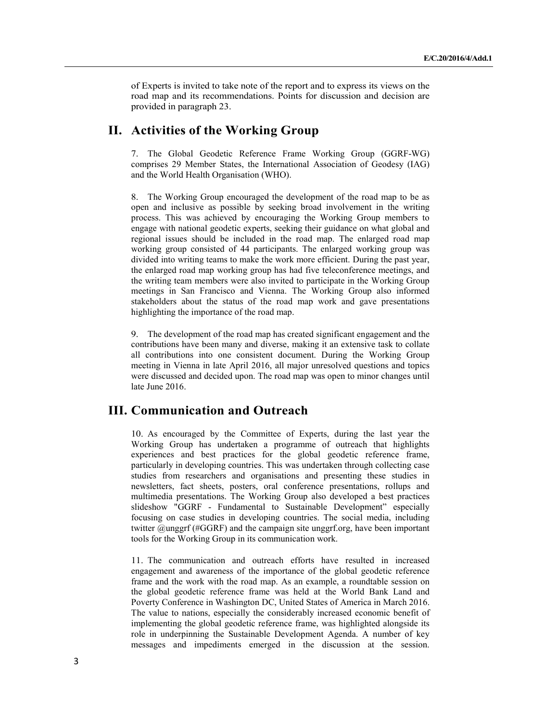of Experts is invited to take note of the report and to express its views on the road map and its recommendations. Points for discussion and decision are provided in paragraph 23.

## **II. Activities of the Working Group**

7. The Global Geodetic Reference Frame Working Group (GGRF-WG) comprises 29 Member States, the International Association of Geodesy (IAG) and the World Health Organisation (WHO).

8. The Working Group encouraged the development of the road map to be as open and inclusive as possible by seeking broad involvement in the writing process. This was achieved by encouraging the Working Group members to engage with national geodetic experts, seeking their guidance on what global and regional issues should be included in the road map. The enlarged road map working group consisted of 44 participants. The enlarged working group was divided into writing teams to make the work more efficient. During the past year, the enlarged road map working group has had five teleconference meetings, and the writing team members were also invited to participate in the Working Group meetings in San Francisco and Vienna. The Working Group also informed stakeholders about the status of the road map work and gave presentations highlighting the importance of the road map.

9. The development of the road map has created significant engagement and the contributions have been many and diverse, making it an extensive task to collate all contributions into one consistent document. During the Working Group meeting in Vienna in late April 2016, all major unresolved questions and topics were discussed and decided upon. The road map was open to minor changes until late June 2016.

## **III. Communication and Outreach**

10. As encouraged by the Committee of Experts, during the last year the Working Group has undertaken a programme of outreach that highlights experiences and best practices for the global geodetic reference frame, particularly in developing countries. This was undertaken through collecting case studies from researchers and organisations and presenting these studies in newsletters, fact sheets, posters, oral conference presentations, rollups and multimedia presentations. The Working Group also developed a best practices slideshow "GGRF - Fundamental to Sustainable Development" especially focusing on case studies in developing countries. The social media, including twitter @unggrf (#GGRF) and the campaign site unggrf.org, have been important tools for the Working Group in its communication work.

11. The communication and outreach efforts have resulted in increased engagement and awareness of the importance of the global geodetic reference frame and the work with the road map. As an example, a roundtable session on the global geodetic reference frame was held at the World Bank Land and Poverty Conference in Washington DC, United States of America in March 2016. The value to nations, especially the considerably increased economic benefit of implementing the global geodetic reference frame, was highlighted alongside its role in underpinning the Sustainable Development Agenda. A number of key messages and impediments emerged in the discussion at the session.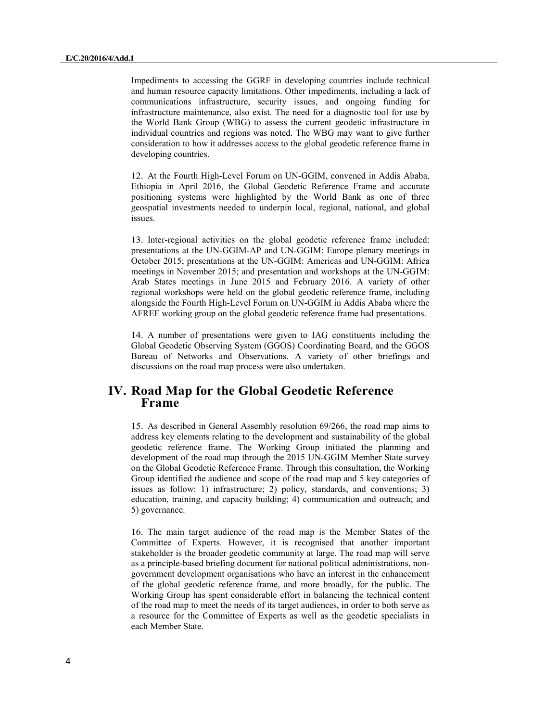Impediments to accessing the GGRF in developing countries include technical and human resource capacity limitations. Other impediments, including a lack of communications infrastructure, security issues, and ongoing funding for infrastructure maintenance, also exist. The need for a diagnostic tool for use by the World Bank Group (WBG) to assess the current geodetic infrastructure in individual countries and regions was noted. The WBG may want to give further consideration to how it addresses access to the global geodetic reference frame in developing countries.

12. At the Fourth High-Level Forum on UN-GGIM, convened in Addis Ababa, Ethiopia in April 2016, the Global Geodetic Reference Frame and accurate positioning systems were highlighted by the World Bank as one of three geospatial investments needed to underpin local, regional, national, and global issues.

13. Inter-regional activities on the global geodetic reference frame included: presentations at the UN-GGIM-AP and UN-GGIM: Europe plenary meetings in October 2015; presentations at the UN-GGIM: Americas and UN-GGIM: Africa meetings in November 2015; and presentation and workshops at the UN-GGIM: Arab States meetings in June 2015 and February 2016. A variety of other regional workshops were held on the global geodetic reference frame, including alongside the Fourth High-Level Forum on UN-GGIM in Addis Ababa where the AFREF working group on the global geodetic reference frame had presentations.

14. A number of presentations were given to IAG constituents including the Global Geodetic Observing System (GGOS) Coordinating Board, and the GGOS Bureau of Networks and Observations. A variety of other briefings and discussions on the road map process were also undertaken.

## **IV. Road Map for the Global Geodetic Reference Frame**

15. As described in General Assembly resolution 69/266, the road map aims to address key elements relating to the development and sustainability of the global geodetic reference frame. The Working Group initiated the planning and development of the road map through the 2015 UN-GGIM Member State survey on the Global Geodetic Reference Frame. Through this consultation, the Working Group identified the audience and scope of the road map and 5 key categories of issues as follow: 1) infrastructure; 2) policy, standards, and conventions; 3) education, training, and capacity building; 4) communication and outreach; and 5) governance.

16. The main target audience of the road map is the Member States of the Committee of Experts. However, it is recognised that another important stakeholder is the broader geodetic community at large. The road map will serve as a principle-based briefing document for national political administrations, nongovernment development organisations who have an interest in the enhancement of the global geodetic reference frame, and more broadly, for the public. The Working Group has spent considerable effort in balancing the technical content of the road map to meet the needs of its target audiences, in order to both serve as a resource for the Committee of Experts as well as the geodetic specialists in each Member State.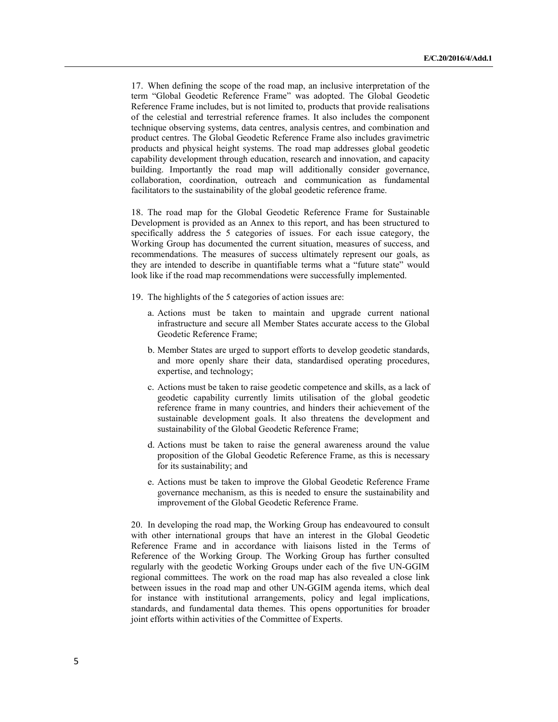17. When defining the scope of the road map, an inclusive interpretation of the term "Global Geodetic Reference Frame" was adopted. The Global Geodetic Reference Frame includes, but is not limited to, products that provide realisations of the celestial and terrestrial reference frames. It also includes the component technique observing systems, data centres, analysis centres, and combination and product centres. The Global Geodetic Reference Frame also includes gravimetric products and physical height systems. The road map addresses global geodetic capability development through education, research and innovation, and capacity building. Importantly the road map will additionally consider governance, collaboration, coordination, outreach and communication as fundamental facilitators to the sustainability of the global geodetic reference frame.

18. The road map for the Global Geodetic Reference Frame for Sustainable Development is provided as an Annex to this report, and has been structured to specifically address the 5 categories of issues. For each issue category, the Working Group has documented the current situation, measures of success, and recommendations. The measures of success ultimately represent our goals, as they are intended to describe in quantifiable terms what a "future state" would look like if the road map recommendations were successfully implemented.

- 19. The highlights of the 5 categories of action issues are:
	- a. Actions must be taken to maintain and upgrade current national infrastructure and secure all Member States accurate access to the Global Geodetic Reference Frame;
	- b. Member States are urged to support efforts to develop geodetic standards, and more openly share their data, standardised operating procedures, expertise, and technology;
	- c. Actions must be taken to raise geodetic competence and skills, as a lack of geodetic capability currently limits utilisation of the global geodetic reference frame in many countries, and hinders their achievement of the sustainable development goals. It also threatens the development and sustainability of the Global Geodetic Reference Frame;
	- d. Actions must be taken to raise the general awareness around the value proposition of the Global Geodetic Reference Frame, as this is necessary for its sustainability; and
	- e. Actions must be taken to improve the Global Geodetic Reference Frame governance mechanism, as this is needed to ensure the sustainability and improvement of the Global Geodetic Reference Frame.

20. In developing the road map, the Working Group has endeavoured to consult with other international groups that have an interest in the Global Geodetic Reference Frame and in accordance with liaisons listed in the Terms of Reference of the Working Group. The Working Group has further consulted regularly with the geodetic Working Groups under each of the five UN-GGIM regional committees. The work on the road map has also revealed a close link between issues in the road map and other UN-GGIM agenda items, which deal for instance with institutional arrangements, policy and legal implications, standards, and fundamental data themes. This opens opportunities for broader joint efforts within activities of the Committee of Experts.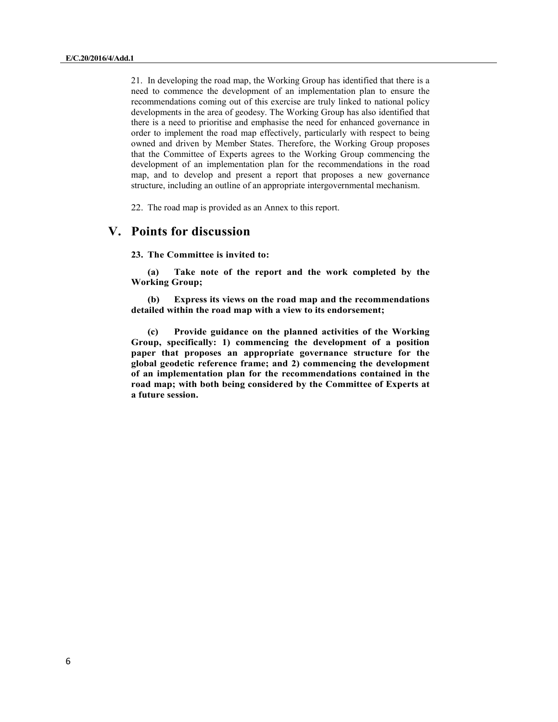21. In developing the road map, the Working Group has identified that there is a need to commence the development of an implementation plan to ensure the recommendations coming out of this exercise are truly linked to national policy developments in the area of geodesy. The Working Group has also identified that there is a need to prioritise and emphasise the need for enhanced governance in order to implement the road map effectively, particularly with respect to being owned and driven by Member States. Therefore, the Working Group proposes that the Committee of Experts agrees to the Working Group commencing the development of an implementation plan for the recommendations in the road map, and to develop and present a report that proposes a new governance structure, including an outline of an appropriate intergovernmental mechanism.

22. The road map is provided as an Annex to this report.

## **V. Points for discussion**

**23. The Committee is invited to:** 

**(a) Take note of the report and the work completed by the Working Group;** 

**(b) Express its views on the road map and the recommendations detailed within the road map with a view to its endorsement;** 

**(c) Provide guidance on the planned activities of the Working Group, specifically: 1) commencing the development of a position paper that proposes an appropriate governance structure for the global geodetic reference frame; and 2) commencing the development of an implementation plan for the recommendations contained in the road map; with both being considered by the Committee of Experts at a future session.**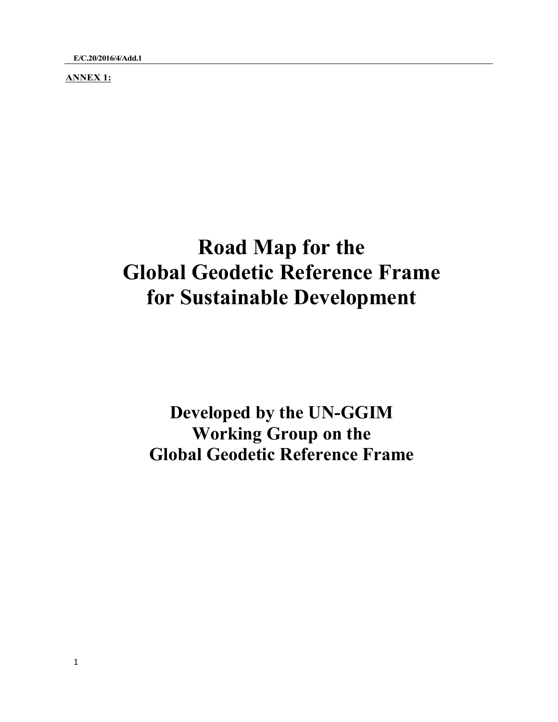**ANNEX 1:** 

# **Road Map for the Global Geodetic Reference Frame for Sustainable Development**

**Developed by the UN-GGIM Working Group on the Global Geodetic Reference Frame**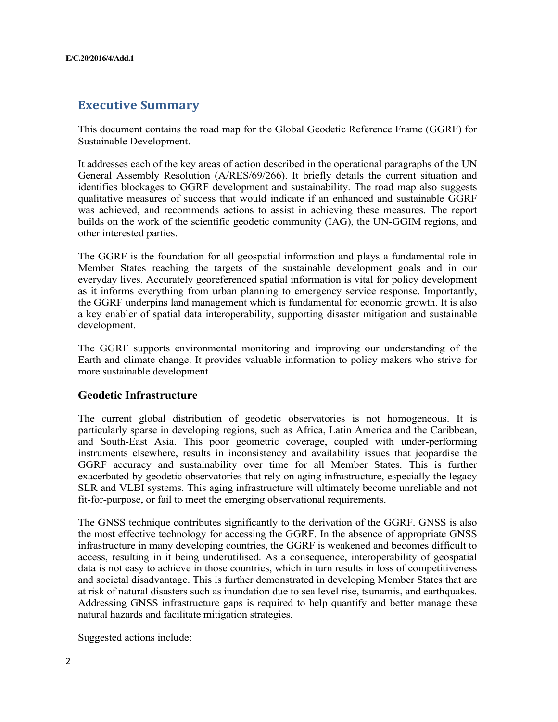## **Executive Summary**

This document contains the road map for the Global Geodetic Reference Frame (GGRF) for Sustainable Development.

It addresses each of the key areas of action described in the operational paragraphs of the UN General Assembly Resolution (A/RES/69/266). It briefly details the current situation and identifies blockages to GGRF development and sustainability. The road map also suggests qualitative measures of success that would indicate if an enhanced and sustainable GGRF was achieved, and recommends actions to assist in achieving these measures. The report builds on the work of the scientific geodetic community (IAG), the UN-GGIM regions, and other interested parties.

The GGRF is the foundation for all geospatial information and plays a fundamental role in Member States reaching the targets of the sustainable development goals and in our everyday lives. Accurately georeferenced spatial information is vital for policy development as it informs everything from urban planning to emergency service response. Importantly, the GGRF underpins land management which is fundamental for economic growth. It is also a key enabler of spatial data interoperability, supporting disaster mitigation and sustainable development.

The GGRF supports environmental monitoring and improving our understanding of the Earth and climate change. It provides valuable information to policy makers who strive for more sustainable development

#### **Geodetic Infrastructure**

The current global distribution of geodetic observatories is not homogeneous. It is particularly sparse in developing regions, such as Africa, Latin America and the Caribbean, and South-East Asia. This poor geometric coverage, coupled with under-performing instruments elsewhere, results in inconsistency and availability issues that jeopardise the GGRF accuracy and sustainability over time for all Member States. This is further exacerbated by geodetic observatories that rely on aging infrastructure, especially the legacy SLR and VLBI systems. This aging infrastructure will ultimately become unreliable and not fit-for-purpose, or fail to meet the emerging observational requirements.

The GNSS technique contributes significantly to the derivation of the GGRF. GNSS is also the most effective technology for accessing the GGRF. In the absence of appropriate GNSS infrastructure in many developing countries, the GGRF is weakened and becomes difficult to access, resulting in it being underutilised. As a consequence, interoperability of geospatial data is not easy to achieve in those countries, which in turn results in loss of competitiveness and societal disadvantage. This is further demonstrated in developing Member States that are at risk of natural disasters such as inundation due to sea level rise, tsunamis, and earthquakes. Addressing GNSS infrastructure gaps is required to help quantify and better manage these natural hazards and facilitate mitigation strategies.

Suggested actions include: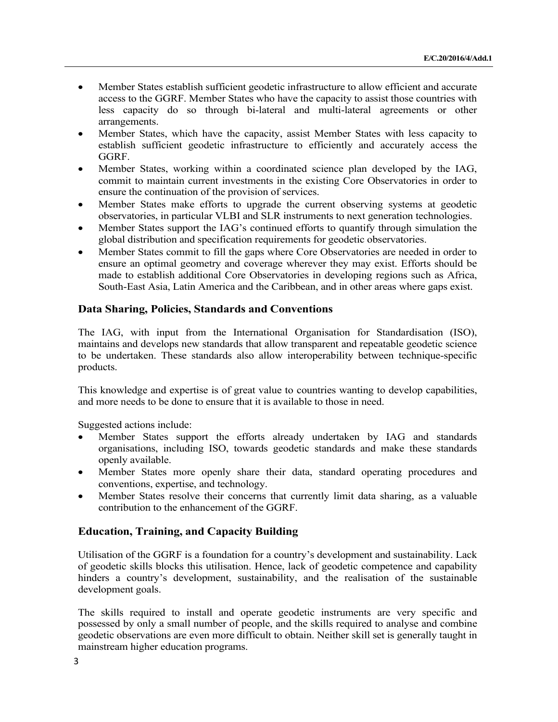- Member States establish sufficient geodetic infrastructure to allow efficient and accurate access to the GGRF. Member States who have the capacity to assist those countries with less capacity do so through bi-lateral and multi-lateral agreements or other arrangements.
- Member States, which have the capacity, assist Member States with less capacity to establish sufficient geodetic infrastructure to efficiently and accurately access the GGRF.
- Member States, working within a coordinated science plan developed by the IAG, commit to maintain current investments in the existing Core Observatories in order to ensure the continuation of the provision of services.
- Member States make efforts to upgrade the current observing systems at geodetic observatories, in particular VLBI and SLR instruments to next generation technologies.
- Member States support the IAG's continued efforts to quantify through simulation the global distribution and specification requirements for geodetic observatories.
- Member States commit to fill the gaps where Core Observatories are needed in order to ensure an optimal geometry and coverage wherever they may exist. Efforts should be made to establish additional Core Observatories in developing regions such as Africa, South-East Asia, Latin America and the Caribbean, and in other areas where gaps exist.

#### **Data Sharing, Policies, Standards and Conventions**

The IAG, with input from the International Organisation for Standardisation (ISO), maintains and develops new standards that allow transparent and repeatable geodetic science to be undertaken. These standards also allow interoperability between technique-specific products.

This knowledge and expertise is of great value to countries wanting to develop capabilities, and more needs to be done to ensure that it is available to those in need.

Suggested actions include:

- Member States support the efforts already undertaken by IAG and standards organisations, including ISO, towards geodetic standards and make these standards openly available.
- Member States more openly share their data, standard operating procedures and conventions, expertise, and technology.
- Member States resolve their concerns that currently limit data sharing, as a valuable contribution to the enhancement of the GGRF.

#### **Education, Training, and Capacity Building**

Utilisation of the GGRF is a foundation for a country's development and sustainability. Lack of geodetic skills blocks this utilisation. Hence, lack of geodetic competence and capability hinders a country's development, sustainability, and the realisation of the sustainable development goals.

The skills required to install and operate geodetic instruments are very specific and possessed by only a small number of people, and the skills required to analyse and combine geodetic observations are even more difficult to obtain. Neither skill set is generally taught in mainstream higher education programs.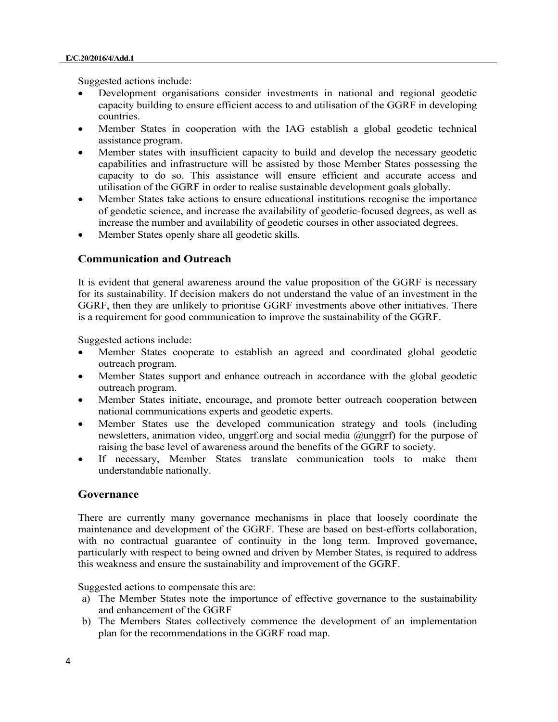Suggested actions include:

- Development organisations consider investments in national and regional geodetic capacity building to ensure efficient access to and utilisation of the GGRF in developing countries.
- Member States in cooperation with the IAG establish a global geodetic technical assistance program.
- Member states with insufficient capacity to build and develop the necessary geodetic capabilities and infrastructure will be assisted by those Member States possessing the capacity to do so. This assistance will ensure efficient and accurate access and utilisation of the GGRF in order to realise sustainable development goals globally.
- Member States take actions to ensure educational institutions recognise the importance of geodetic science, and increase the availability of geodetic-focused degrees, as well as increase the number and availability of geodetic courses in other associated degrees.
- Member States openly share all geodetic skills.

#### **Communication and Outreach**

It is evident that general awareness around the value proposition of the GGRF is necessary for its sustainability. If decision makers do not understand the value of an investment in the GGRF, then they are unlikely to prioritise GGRF investments above other initiatives. There is a requirement for good communication to improve the sustainability of the GGRF.

Suggested actions include:

- Member States cooperate to establish an agreed and coordinated global geodetic outreach program.
- Member States support and enhance outreach in accordance with the global geodetic outreach program.
- Member States initiate, encourage, and promote better outreach cooperation between national communications experts and geodetic experts.
- Member States use the developed communication strategy and tools (including newsletters, animation video, unggrf.org and social media @unggrf) for the purpose of raising the base level of awareness around the benefits of the GGRF to society.
- If necessary, Member States translate communication tools to make them understandable nationally.

#### **Governance**

There are currently many governance mechanisms in place that loosely coordinate the maintenance and development of the GGRF. These are based on best-efforts collaboration, with no contractual guarantee of continuity in the long term. Improved governance, particularly with respect to being owned and driven by Member States, is required to address this weakness and ensure the sustainability and improvement of the GGRF.

Suggested actions to compensate this are:

- a) The Member States note the importance of effective governance to the sustainability and enhancement of the GGRF
- b) The Members States collectively commence the development of an implementation plan for the recommendations in the GGRF road map.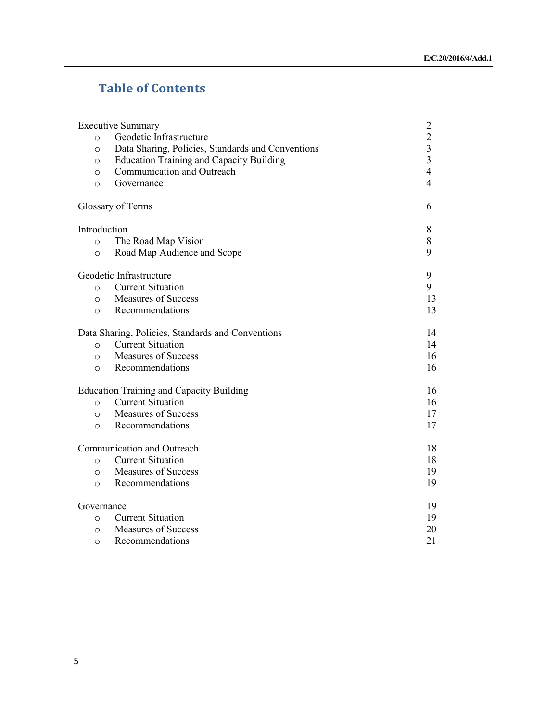## **Table of Contents**

| <b>Executive Summary</b>   |                                                   |                                            |
|----------------------------|---------------------------------------------------|--------------------------------------------|
| $\circ$                    | Geodetic Infrastructure                           | $\begin{array}{c} 2 \\ 2 \\ 3 \end{array}$ |
| $\circ$                    | Data Sharing, Policies, Standards and Conventions |                                            |
| $\circ$                    | <b>Education Training and Capacity Building</b>   | $\overline{\mathbf{3}}$                    |
| $\circ$                    | Communication and Outreach                        | $\overline{4}$                             |
| $\Omega$                   | Governance                                        | 4                                          |
|                            | Glossary of Terms                                 | 6                                          |
| Introduction               |                                                   | 8                                          |
| $\circ$                    | The Road Map Vision                               | 8                                          |
| $\circ$                    | Road Map Audience and Scope                       | 9                                          |
| Geodetic Infrastructure    |                                                   | 9                                          |
| $\circ$                    | <b>Current Situation</b>                          | 9                                          |
| $\circ$                    | <b>Measures of Success</b>                        | 13                                         |
| $\circ$                    | Recommendations                                   | 13                                         |
|                            | Data Sharing, Policies, Standards and Conventions | 14                                         |
| $\circ$                    | <b>Current Situation</b>                          | 14                                         |
| $\circ$                    | <b>Measures of Success</b>                        | 16                                         |
| $\circ$                    | Recommendations                                   | 16                                         |
|                            | <b>Education Training and Capacity Building</b>   | 16                                         |
| $\circ$                    | <b>Current Situation</b>                          | 16                                         |
| $\circ$                    | <b>Measures of Success</b>                        | 17                                         |
| $\circ$                    | Recommendations                                   | 17                                         |
| Communication and Outreach |                                                   | 18                                         |
| $\circ$                    | <b>Current Situation</b>                          | 18                                         |
| $\circ$                    | <b>Measures of Success</b>                        | 19                                         |
| $\circ$                    | Recommendations                                   | 19                                         |
| Governance                 |                                                   | 19                                         |
| $\circ$                    | <b>Current Situation</b>                          | 19                                         |
| $\circ$                    | <b>Measures of Success</b>                        | 20                                         |
| O                          | Recommendations                                   | 21                                         |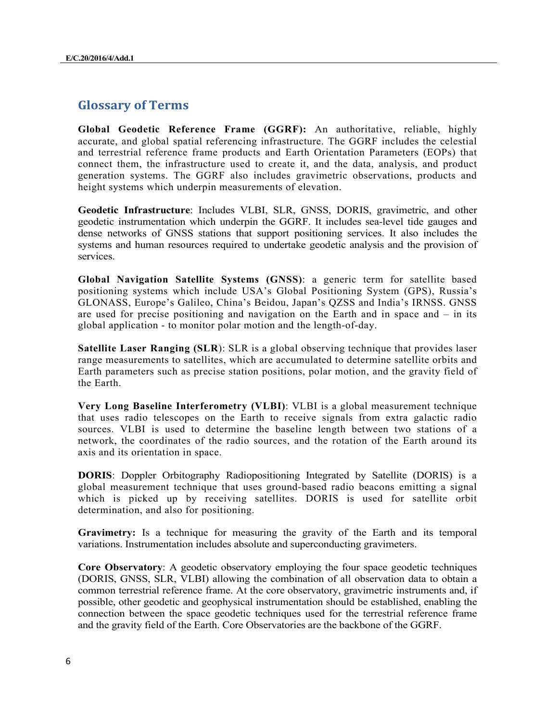## **Glossary of Terms**

**Global Geodetic Reference Frame (GGRF):** An authoritative, reliable, highly accurate, and global spatial referencing infrastructure. The GGRF includes the celestial and terrestrial reference frame products and Earth Orientation Parameters (EOPs) that connect them, the infrastructure used to create it, and the data, analysis, and product generation systems. The GGRF also includes gravimetric observations, products and height systems which underpin measurements of elevation.

**Geodetic Infrastructure**: Includes VLBI, SLR, GNSS, DORIS, gravimetric, and other geodetic instrumentation which underpin the GGRF. It includes sea-level tide gauges and dense networks of GNSS stations that support positioning services. It also includes the systems and human resources required to undertake geodetic analysis and the provision of services.

**Global Navigation Satellite Systems (GNSS)**: a generic term for satellite based positioning systems which include USA's Global Positioning System (GPS), Russia's GLONASS, Europe's Galileo, China's Beidou, Japan's QZSS and India's IRNSS. GNSS are used for precise positioning and navigation on the Earth and in space and – in its global application - to monitor polar motion and the length-of-day.

**Satellite Laser Ranging (SLR**): SLR is a global observing technique that provides laser range measurements to satellites, which are accumulated to determine satellite orbits and Earth parameters such as precise station positions, polar motion, and the gravity field of the Earth.

**Very Long Baseline Interferometry (VLBI)**: VLBI is a global measurement technique that uses radio telescopes on the Earth to receive signals from extra galactic radio sources. VLBI is used to determine the baseline length between two stations of a network, the coordinates of the radio sources, and the rotation of the Earth around its axis and its orientation in space.

**DORIS**: Doppler Orbitography Radiopositioning Integrated by Satellite (DORIS) is a global measurement technique that uses ground-based radio beacons emitting a signal which is picked up by receiving satellites. DORIS is used for satellite orbit determination, and also for positioning.

**Gravimetry:** Is a technique for measuring the gravity of the Earth and its temporal variations. Instrumentation includes absolute and superconducting gravimeters.

**Core Observatory**: A geodetic observatory employing the four space geodetic techniques (DORIS, GNSS, SLR, VLBI) allowing the combination of all observation data to obtain a common terrestrial reference frame. At the core observatory, gravimetric instruments and, if possible, other geodetic and geophysical instrumentation should be established, enabling the connection between the space geodetic techniques used for the terrestrial reference frame and the gravity field of the Earth. Core Observatories are the backbone of the GGRF.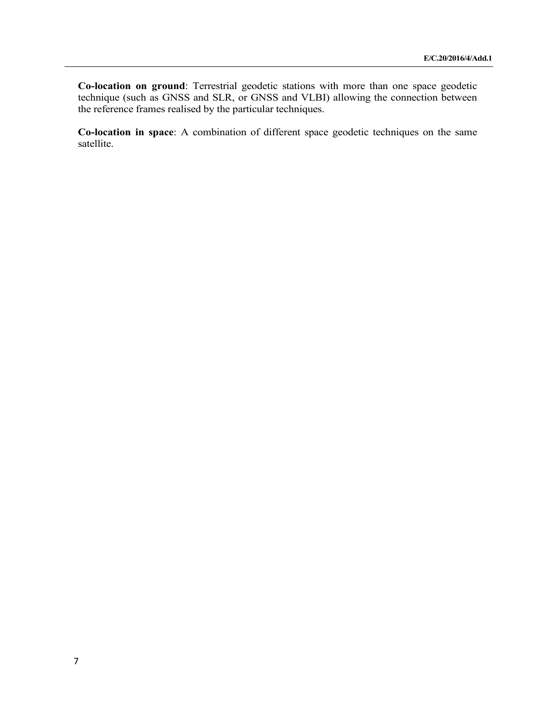**Co-location on ground**: Terrestrial geodetic stations with more than one space geodetic technique (such as GNSS and SLR, or GNSS and VLBI) allowing the connection between the reference frames realised by the particular techniques.

**Co-location in space**: A combination of different space geodetic techniques on the same satellite.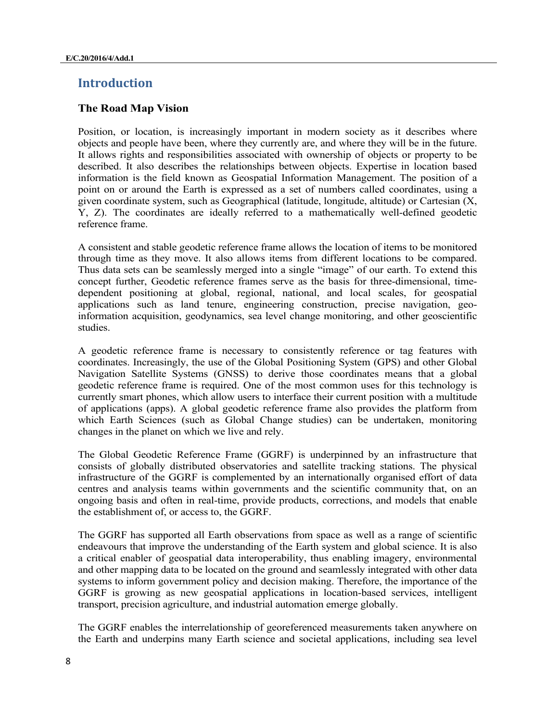## **Introduction**

#### **The Road Map Vision**

Position, or location, is increasingly important in modern society as it describes where objects and people have been, where they currently are, and where they will be in the future. It allows rights and responsibilities associated with ownership of objects or property to be described. It also describes the relationships between objects. Expertise in location based information is the field known as Geospatial Information Management. The position of a point on or around the Earth is expressed as a set of numbers called coordinates, using a given coordinate system, such as Geographical (latitude, longitude, altitude) or Cartesian (X, Y, Z). The coordinates are ideally referred to a mathematically well-defined geodetic reference frame.

A consistent and stable geodetic reference frame allows the location of items to be monitored through time as they move. It also allows items from different locations to be compared. Thus data sets can be seamlessly merged into a single "image" of our earth. To extend this concept further, Geodetic reference frames serve as the basis for three-dimensional, timedependent positioning at global, regional, national, and local scales, for geospatial applications such as land tenure, engineering construction, precise navigation, geoinformation acquisition, geodynamics, sea level change monitoring, and other geoscientific studies.

A geodetic reference frame is necessary to consistently reference or tag features with coordinates. Increasingly, the use of the Global Positioning System (GPS) and other Global Navigation Satellite Systems (GNSS) to derive those coordinates means that a global geodetic reference frame is required. One of the most common uses for this technology is currently smart phones, which allow users to interface their current position with a multitude of applications (apps). A global geodetic reference frame also provides the platform from which Earth Sciences (such as Global Change studies) can be undertaken, monitoring changes in the planet on which we live and rely.

The Global Geodetic Reference Frame (GGRF) is underpinned by an infrastructure that consists of globally distributed observatories and satellite tracking stations. The physical infrastructure of the GGRF is complemented by an internationally organised effort of data centres and analysis teams within governments and the scientific community that, on an ongoing basis and often in real-time, provide products, corrections, and models that enable the establishment of, or access to, the GGRF.

The GGRF has supported all Earth observations from space as well as a range of scientific endeavours that improve the understanding of the Earth system and global science. It is also a critical enabler of geospatial data interoperability, thus enabling imagery, environmental and other mapping data to be located on the ground and seamlessly integrated with other data systems to inform government policy and decision making. Therefore, the importance of the GGRF is growing as new geospatial applications in location-based services, intelligent transport, precision agriculture, and industrial automation emerge globally.

The GGRF enables the interrelationship of georeferenced measurements taken anywhere on the Earth and underpins many Earth science and societal applications, including sea level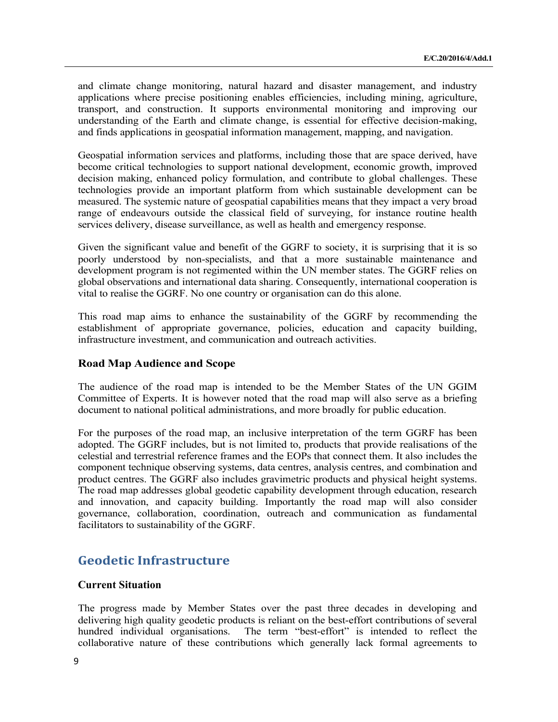and climate change monitoring, natural hazard and disaster management, and industry applications where precise positioning enables efficiencies, including mining, agriculture, transport, and construction. It supports environmental monitoring and improving our understanding of the Earth and climate change, is essential for effective decision-making, and finds applications in geospatial information management, mapping, and navigation.

Geospatial information services and platforms, including those that are space derived, have become critical technologies to support national development, economic growth, improved decision making, enhanced policy formulation, and contribute to global challenges. These technologies provide an important platform from which sustainable development can be measured. The systemic nature of geospatial capabilities means that they impact a very broad range of endeavours outside the classical field of surveying, for instance routine health services delivery, disease surveillance, as well as health and emergency response.

Given the significant value and benefit of the GGRF to society, it is surprising that it is so poorly understood by non-specialists, and that a more sustainable maintenance and development program is not regimented within the UN member states. The GGRF relies on global observations and international data sharing. Consequently, international cooperation is vital to realise the GGRF. No one country or organisation can do this alone.

This road map aims to enhance the sustainability of the GGRF by recommending the establishment of appropriate governance, policies, education and capacity building, infrastructure investment, and communication and outreach activities.

#### **Road Map Audience and Scope**

The audience of the road map is intended to be the Member States of the UN GGIM Committee of Experts. It is however noted that the road map will also serve as a briefing document to national political administrations, and more broadly for public education.

For the purposes of the road map, an inclusive interpretation of the term GGRF has been adopted. The GGRF includes, but is not limited to, products that provide realisations of the celestial and terrestrial reference frames and the EOPs that connect them. It also includes the component technique observing systems, data centres, analysis centres, and combination and product centres. The GGRF also includes gravimetric products and physical height systems. The road map addresses global geodetic capability development through education, research and innovation, and capacity building. Importantly the road map will also consider governance, collaboration, coordination, outreach and communication as fundamental facilitators to sustainability of the GGRF.

## **Geodetic Infrastructure**

#### **Current Situation**

The progress made by Member States over the past three decades in developing and delivering high quality geodetic products is reliant on the best-effort contributions of several hundred individual organisations. The term "best-effort" is intended to reflect the collaborative nature of these contributions which generally lack formal agreements to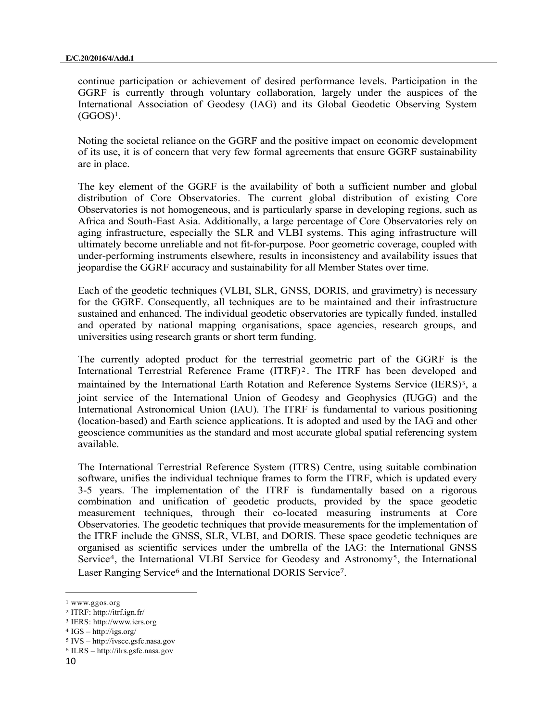continue participation or achievement of desired performance levels. Participation in the GGRF is currently through voluntary collaboration, largely under the auspices of the International Association of Geodesy (IAG) and its Global Geodetic Observing System  $(GGOS)^1$ .

Noting the societal reliance on the GGRF and the positive impact on economic development of its use, it is of concern that very few formal agreements that ensure GGRF sustainability are in place.

The key element of the GGRF is the availability of both a sufficient number and global distribution of Core Observatories. The current global distribution of existing Core Observatories is not homogeneous, and is particularly sparse in developing regions, such as Africa and South-East Asia. Additionally, a large percentage of Core Observatories rely on aging infrastructure, especially the SLR and VLBI systems. This aging infrastructure will ultimately become unreliable and not fit-for-purpose. Poor geometric coverage, coupled with under-performing instruments elsewhere, results in inconsistency and availability issues that jeopardise the GGRF accuracy and sustainability for all Member States over time.

Each of the geodetic techniques (VLBI, SLR, GNSS, DORIS, and gravimetry) is necessary for the GGRF. Consequently, all techniques are to be maintained and their infrastructure sustained and enhanced. The individual geodetic observatories are typically funded, installed and operated by national mapping organisations, space agencies, research groups, and universities using research grants or short term funding.

The currently adopted product for the terrestrial geometric part of the GGRF is the International Terrestrial Reference Frame (ITRF) <sup>2</sup> . The ITRF has been developed and maintained by the International Earth Rotation and Reference Systems Service (IERS)<sup>3</sup>, a joint service of the International Union of Geodesy and Geophysics (IUGG) and the International Astronomical Union (IAU). The ITRF is fundamental to various positioning (location-based) and Earth science applications. It is adopted and used by the IAG and other geoscience communities as the standard and most accurate global spatial referencing system available.

The International Terrestrial Reference System (ITRS) Centre, using suitable combination software, unifies the individual technique frames to form the ITRF, which is updated every 3-5 years. The implementation of the ITRF is fundamentally based on a rigorous combination and unification of geodetic products, provided by the space geodetic measurement techniques, through their co-located measuring instruments at Core Observatories. The geodetic techniques that provide measurements for the implementation of the ITRF include the GNSS, SLR, VLBI, and DORIS. These space geodetic techniques are organised as scientific services under the umbrella of the IAG: the International GNSS Service<sup>4</sup>, the International VLBI Service for Geodesy and Astronomy<sup>5</sup>, the International Laser Ranging Service<sup>6</sup> and the International DORIS Service<sup>7</sup>.

<sup>1</sup> www.ggos.org

<sup>2</sup> ITRF: http://itrf.ign.fr/

<sup>3</sup> IERS: http://www.iers.org

<sup>4</sup> IGS – http://igs.org/

<sup>5</sup> IVS – http://ivscc.gsfc.nasa.gov 6 ILRS – http://ilrs.gsfc.nasa.gov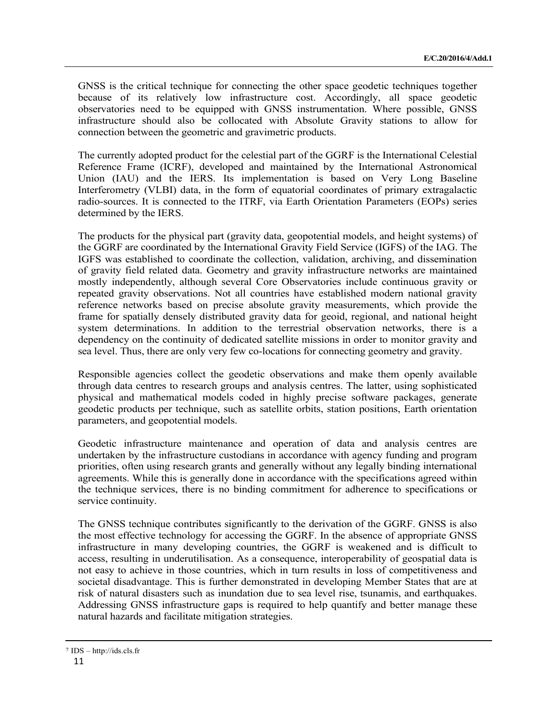GNSS is the critical technique for connecting the other space geodetic techniques together because of its relatively low infrastructure cost. Accordingly, all space geodetic observatories need to be equipped with GNSS instrumentation. Where possible, GNSS infrastructure should also be collocated with Absolute Gravity stations to allow for connection between the geometric and gravimetric products.

The currently adopted product for the celestial part of the GGRF is the International Celestial Reference Frame (ICRF), developed and maintained by the International Astronomical Union (IAU) and the IERS. Its implementation is based on Very Long Baseline Interferometry (VLBI) data, in the form of equatorial coordinates of primary extragalactic radio-sources. It is connected to the ITRF, via Earth Orientation Parameters (EOPs) series determined by the IERS.

The products for the physical part (gravity data, geopotential models, and height systems) of the GGRF are coordinated by the International Gravity Field Service (IGFS) of the IAG. The IGFS was established to coordinate the collection, validation, archiving, and dissemination of gravity field related data. Geometry and gravity infrastructure networks are maintained mostly independently, although several Core Observatories include continuous gravity or repeated gravity observations. Not all countries have established modern national gravity reference networks based on precise absolute gravity measurements, which provide the frame for spatially densely distributed gravity data for geoid, regional, and national height system determinations. In addition to the terrestrial observation networks, there is a dependency on the continuity of dedicated satellite missions in order to monitor gravity and sea level. Thus, there are only very few co-locations for connecting geometry and gravity.

Responsible agencies collect the geodetic observations and make them openly available through data centres to research groups and analysis centres. The latter, using sophisticated physical and mathematical models coded in highly precise software packages, generate geodetic products per technique, such as satellite orbits, station positions, Earth orientation parameters, and geopotential models.

Geodetic infrastructure maintenance and operation of data and analysis centres are undertaken by the infrastructure custodians in accordance with agency funding and program priorities, often using research grants and generally without any legally binding international agreements. While this is generally done in accordance with the specifications agreed within the technique services, there is no binding commitment for adherence to specifications or service continuity.

The GNSS technique contributes significantly to the derivation of the GGRF. GNSS is also the most effective technology for accessing the GGRF. In the absence of appropriate GNSS infrastructure in many developing countries, the GGRF is weakened and is difficult to access, resulting in underutilisation. As a consequence, interoperability of geospatial data is not easy to achieve in those countries, which in turn results in loss of competitiveness and societal disadvantage. This is further demonstrated in developing Member States that are at risk of natural disasters such as inundation due to sea level rise, tsunamis, and earthquakes. Addressing GNSS infrastructure gaps is required to help quantify and better manage these natural hazards and facilitate mitigation strategies.

<sup>7</sup> IDS – http://ids.cls.fr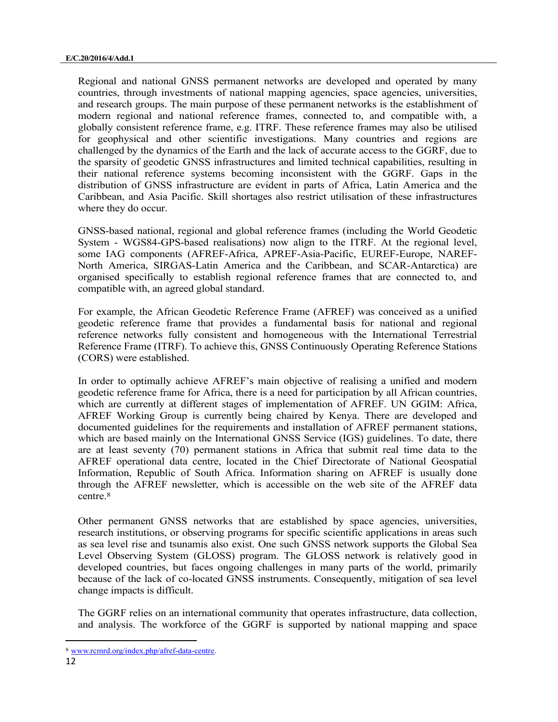Regional and national GNSS permanent networks are developed and operated by many countries, through investments of national mapping agencies, space agencies, universities, and research groups. The main purpose of these permanent networks is the establishment of modern regional and national reference frames, connected to, and compatible with, a globally consistent reference frame, e.g. ITRF. These reference frames may also be utilised for geophysical and other scientific investigations. Many countries and regions are challenged by the dynamics of the Earth and the lack of accurate access to the GGRF, due to the sparsity of geodetic GNSS infrastructures and limited technical capabilities, resulting in their national reference systems becoming inconsistent with the GGRF. Gaps in the distribution of GNSS infrastructure are evident in parts of Africa, Latin America and the Caribbean, and Asia Pacific. Skill shortages also restrict utilisation of these infrastructures where they do occur.

GNSS-based national, regional and global reference frames (including the World Geodetic System - WGS84-GPS-based realisations) now align to the ITRF. At the regional level, some IAG components (AFREF-Africa, APREF-Asia-Pacific, EUREF-Europe, NAREF-North America, SIRGAS-Latin America and the Caribbean, and SCAR-Antarctica) are organised specifically to establish regional reference frames that are connected to, and compatible with, an agreed global standard.

For example, the African Geodetic Reference Frame (AFREF) was conceived as a unified geodetic reference frame that provides a fundamental basis for national and regional reference networks fully consistent and homogeneous with the International Terrestrial Reference Frame (ITRF). To achieve this, GNSS Continuously Operating Reference Stations (CORS) were established.

In order to optimally achieve AFREF's main objective of realising a unified and modern geodetic reference frame for Africa, there is a need for participation by all African countries, which are currently at different stages of implementation of AFREF. UN GGIM: Africa, AFREF Working Group is currently being chaired by Kenya. There are developed and documented guidelines for the requirements and installation of AFREF permanent stations, which are based mainly on the International GNSS Service (IGS) guidelines. To date, there are at least seventy (70) permanent stations in Africa that submit real time data to the AFREF operational data centre, located in the Chief Directorate of National Geospatial Information, Republic of South Africa. Information sharing on AFREF is usually done through the AFREF newsletter, which is accessible on the web site of the AFREF data centre.<sup>8</sup>

Other permanent GNSS networks that are established by space agencies, universities, research institutions, or observing programs for specific scientific applications in areas such as sea level rise and tsunamis also exist. One such GNSS network supports the Global Sea Level Observing System (GLOSS) program. The GLOSS network is relatively good in developed countries, but faces ongoing challenges in many parts of the world, primarily because of the lack of co-located GNSS instruments. Consequently, mitigation of sea level change impacts is difficult.

The GGRF relies on an international community that operates infrastructure, data collection, and analysis. The workforce of the GGRF is supported by national mapping and space

<sup>8</sup> www.rcmrd.org/index.php/afref-data-centre.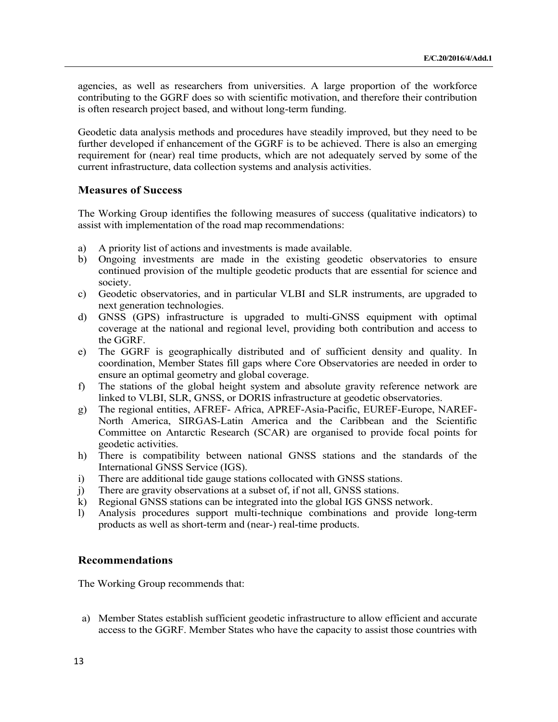agencies, as well as researchers from universities. A large proportion of the workforce contributing to the GGRF does so with scientific motivation, and therefore their contribution is often research project based, and without long-term funding.

Geodetic data analysis methods and procedures have steadily improved, but they need to be further developed if enhancement of the GGRF is to be achieved. There is also an emerging requirement for (near) real time products, which are not adequately served by some of the current infrastructure, data collection systems and analysis activities.

#### **Measures of Success**

The Working Group identifies the following measures of success (qualitative indicators) to assist with implementation of the road map recommendations:

- a) A priority list of actions and investments is made available.
- b) Ongoing investments are made in the existing geodetic observatories to ensure continued provision of the multiple geodetic products that are essential for science and society.
- c) Geodetic observatories, and in particular VLBI and SLR instruments, are upgraded to next generation technologies.
- d) GNSS (GPS) infrastructure is upgraded to multi-GNSS equipment with optimal coverage at the national and regional level, providing both contribution and access to the GGRF.
- e) The GGRF is geographically distributed and of sufficient density and quality. In coordination, Member States fill gaps where Core Observatories are needed in order to ensure an optimal geometry and global coverage.
- f) The stations of the global height system and absolute gravity reference network are linked to VLBI, SLR, GNSS, or DORIS infrastructure at geodetic observatories.
- g) The regional entities, AFREF- Africa, APREF-Asia-Pacific, EUREF-Europe, NAREF-North America, SIRGAS-Latin America and the Caribbean and the Scientific Committee on Antarctic Research (SCAR) are organised to provide focal points for geodetic activities.
- h) There is compatibility between national GNSS stations and the standards of the International GNSS Service (IGS).
- i) There are additional tide gauge stations collocated with GNSS stations.
- j) There are gravity observations at a subset of, if not all, GNSS stations.
- k) Regional GNSS stations can be integrated into the global IGS GNSS network.
- l) Analysis procedures support multi-technique combinations and provide long-term products as well as short-term and (near-) real-time products.

#### **Recommendations**

The Working Group recommends that:

a) Member States establish sufficient geodetic infrastructure to allow efficient and accurate access to the GGRF. Member States who have the capacity to assist those countries with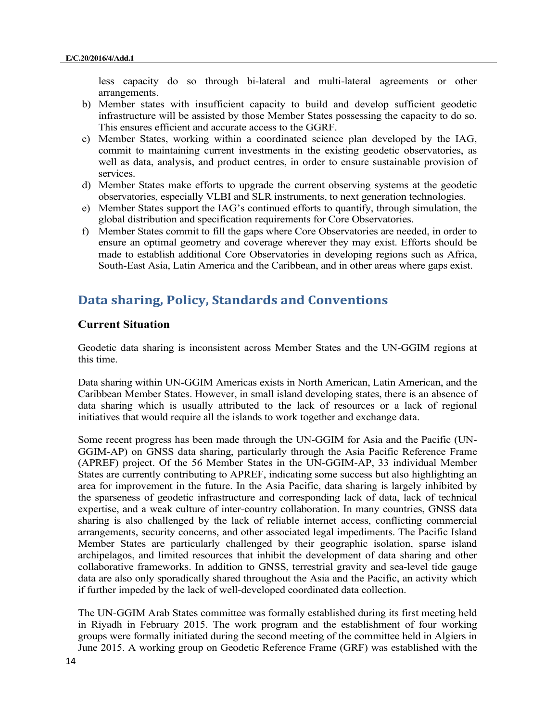less capacity do so through bi-lateral and multi-lateral agreements or other arrangements.

- b) Member states with insufficient capacity to build and develop sufficient geodetic infrastructure will be assisted by those Member States possessing the capacity to do so. This ensures efficient and accurate access to the GGRF.
- c) Member States, working within a coordinated science plan developed by the IAG, commit to maintaining current investments in the existing geodetic observatories, as well as data, analysis, and product centres, in order to ensure sustainable provision of services.
- d) Member States make efforts to upgrade the current observing systems at the geodetic observatories, especially VLBI and SLR instruments, to next generation technologies.
- e) Member States support the IAG's continued efforts to quantify, through simulation, the global distribution and specification requirements for Core Observatories.
- f) Member States commit to fill the gaps where Core Observatories are needed, in order to ensure an optimal geometry and coverage wherever they may exist. Efforts should be made to establish additional Core Observatories in developing regions such as Africa, South-East Asia, Latin America and the Caribbean, and in other areas where gaps exist.

## **Data sharing, Policy, Standards and Conventions**

#### **Current Situation**

Geodetic data sharing is inconsistent across Member States and the UN-GGIM regions at this time.

Data sharing within UN-GGIM Americas exists in North American, Latin American, and the Caribbean Member States. However, in small island developing states, there is an absence of data sharing which is usually attributed to the lack of resources or a lack of regional initiatives that would require all the islands to work together and exchange data.

Some recent progress has been made through the UN-GGIM for Asia and the Pacific (UN-GGIM-AP) on GNSS data sharing, particularly through the Asia Pacific Reference Frame (APREF) project. Of the 56 Member States in the UN-GGIM-AP, 33 individual Member States are currently contributing to APREF, indicating some success but also highlighting an area for improvement in the future. In the Asia Pacific, data sharing is largely inhibited by the sparseness of geodetic infrastructure and corresponding lack of data, lack of technical expertise, and a weak culture of inter-country collaboration. In many countries, GNSS data sharing is also challenged by the lack of reliable internet access, conflicting commercial arrangements, security concerns, and other associated legal impediments. The Pacific Island Member States are particularly challenged by their geographic isolation, sparse island archipelagos, and limited resources that inhibit the development of data sharing and other collaborative frameworks. In addition to GNSS, terrestrial gravity and sea-level tide gauge data are also only sporadically shared throughout the Asia and the Pacific, an activity which if further impeded by the lack of well-developed coordinated data collection.

The UN-GGIM Arab States committee was formally established during its first meeting held in Riyadh in February 2015. The work program and the establishment of four working groups were formally initiated during the second meeting of the committee held in Algiers in June 2015. A working group on Geodetic Reference Frame (GRF) was established with the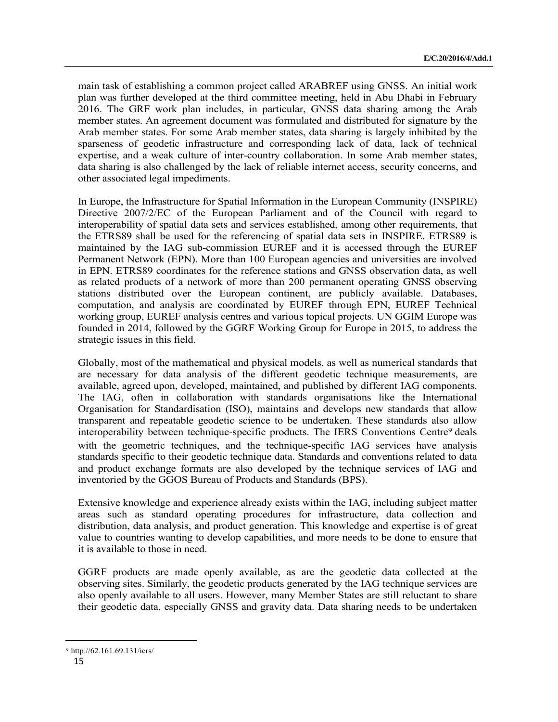main task of establishing a common project called ARABREF using GNSS. An initial work plan was further developed at the third committee meeting, held in Abu Dhabi in February 2016. The GRF work plan includes, in particular, GNSS data sharing among the Arab member states. An agreement document was formulated and distributed for signature by the Arab member states. For some Arab member states, data sharing is largely inhibited by the sparseness of geodetic infrastructure and corresponding lack of data, lack of technical expertise, and a weak culture of inter-country collaboration. In some Arab member states, data sharing is also challenged by the lack of reliable internet access, security concerns, and other associated legal impediments.

In Europe, the Infrastructure for Spatial Information in the European Community (INSPIRE) Directive 2007/2/EC of the European Parliament and of the Council with regard to interoperability of spatial data sets and services established, among other requirements, that the ETRS89 shall be used for the referencing of spatial data sets in INSPIRE. ETRS89 is maintained by the IAG sub-commission EUREF and it is accessed through the EUREF Permanent Network (EPN). More than 100 European agencies and universities are involved in EPN. ETRS89 coordinates for the reference stations and GNSS observation data, as well as related products of a network of more than 200 permanent operating GNSS observing stations distributed over the European continent, are publicly available. Databases, computation, and analysis are coordinated by EUREF through EPN, EUREF Technical working group, EUREF analysis centres and various topical projects. UN GGIM Europe was founded in 2014, followed by the GGRF Working Group for Europe in 2015, to address the strategic issues in this field.

Globally, most of the mathematical and physical models, as well as numerical standards that are necessary for data analysis of the different geodetic technique measurements, are available, agreed upon, developed, maintained, and published by different IAG components. The IAG, often in collaboration with standards organisations like the International Organisation for Standardisation (ISO), maintains and develops new standards that allow transparent and repeatable geodetic science to be undertaken. These standards also allow interoperability between technique-specific products. The IERS Conventions Centre<sup>9</sup> deals with the geometric techniques, and the technique-specific IAG services have analysis standards specific to their geodetic technique data. Standards and conventions related to data and product exchange formats are also developed by the technique services of IAG and inventoried by the GGOS Bureau of Products and Standards (BPS).

Extensive knowledge and experience already exists within the IAG, including subject matter areas such as standard operating procedures for infrastructure, data collection and distribution, data analysis, and product generation. This knowledge and expertise is of great value to countries wanting to develop capabilities, and more needs to be done to ensure that it is available to those in need.

GGRF products are made openly available, as are the geodetic data collected at the observing sites. Similarly, the geodetic products generated by the IAG technique services are also openly available to all users. However, many Member States are still reluctant to share their geodetic data, especially GNSS and gravity data. Data sharing needs to be undertaken

<sup>9</sup> http://62.161.69.131/iers/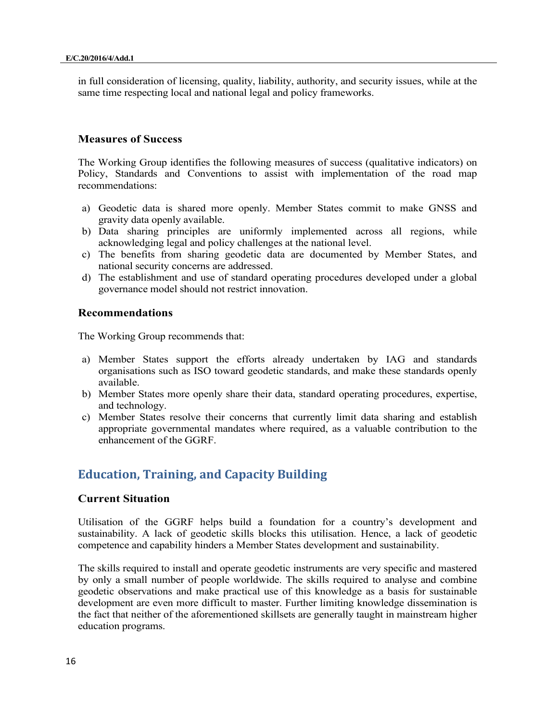in full consideration of licensing, quality, liability, authority, and security issues, while at the same time respecting local and national legal and policy frameworks.

#### **Measures of Success**

The Working Group identifies the following measures of success (qualitative indicators) on Policy, Standards and Conventions to assist with implementation of the road map recommendations:

- a) Geodetic data is shared more openly. Member States commit to make GNSS and gravity data openly available.
- b) Data sharing principles are uniformly implemented across all regions, while acknowledging legal and policy challenges at the national level.
- c) The benefits from sharing geodetic data are documented by Member States, and national security concerns are addressed.
- d) The establishment and use of standard operating procedures developed under a global governance model should not restrict innovation.

#### **Recommendations**

The Working Group recommends that:

- a) Member States support the efforts already undertaken by IAG and standards organisations such as ISO toward geodetic standards, and make these standards openly available.
- b) Member States more openly share their data, standard operating procedures, expertise, and technology.
- c) Member States resolve their concerns that currently limit data sharing and establish appropriate governmental mandates where required, as a valuable contribution to the enhancement of the GGRF.

## **Education, Training, and Capacity Building**

#### **Current Situation**

Utilisation of the GGRF helps build a foundation for a country's development and sustainability. A lack of geodetic skills blocks this utilisation. Hence, a lack of geodetic competence and capability hinders a Member States development and sustainability.

The skills required to install and operate geodetic instruments are very specific and mastered by only a small number of people worldwide. The skills required to analyse and combine geodetic observations and make practical use of this knowledge as a basis for sustainable development are even more difficult to master. Further limiting knowledge dissemination is the fact that neither of the aforementioned skillsets are generally taught in mainstream higher education programs.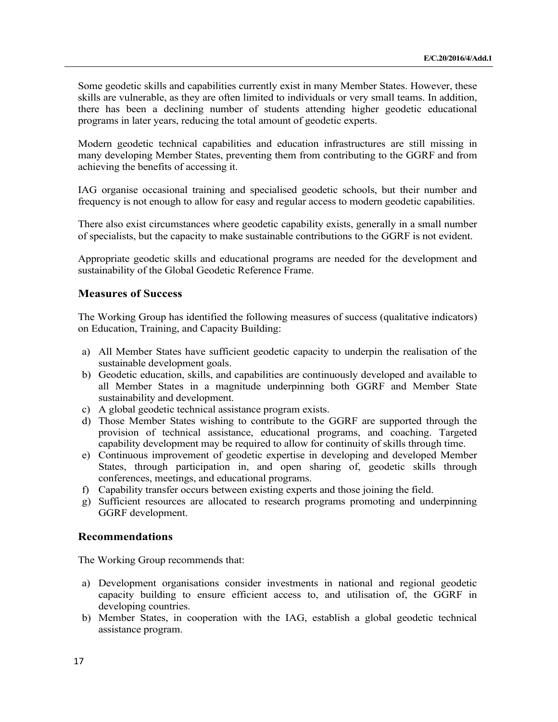Some geodetic skills and capabilities currently exist in many Member States. However, these skills are vulnerable, as they are often limited to individuals or very small teams. In addition, there has been a declining number of students attending higher geodetic educational programs in later years, reducing the total amount of geodetic experts.

Modern geodetic technical capabilities and education infrastructures are still missing in many developing Member States, preventing them from contributing to the GGRF and from achieving the benefits of accessing it.

IAG organise occasional training and specialised geodetic schools, but their number and frequency is not enough to allow for easy and regular access to modern geodetic capabilities.

There also exist circumstances where geodetic capability exists, generally in a small number of specialists, but the capacity to make sustainable contributions to the GGRF is not evident.

Appropriate geodetic skills and educational programs are needed for the development and sustainability of the Global Geodetic Reference Frame.

#### **Measures of Success**

The Working Group has identified the following measures of success (qualitative indicators) on Education, Training, and Capacity Building:

- a) All Member States have sufficient geodetic capacity to underpin the realisation of the sustainable development goals.
- b) Geodetic education, skills, and capabilities are continuously developed and available to all Member States in a magnitude underpinning both GGRF and Member State sustainability and development.
- c) A global geodetic technical assistance program exists.
- d) Those Member States wishing to contribute to the GGRF are supported through the provision of technical assistance, educational programs, and coaching. Targeted capability development may be required to allow for continuity of skills through time.
- e) Continuous improvement of geodetic expertise in developing and developed Member States, through participation in, and open sharing of, geodetic skills through conferences, meetings, and educational programs.
- f) Capability transfer occurs between existing experts and those joining the field.
- g) Sufficient resources are allocated to research programs promoting and underpinning GGRF development.

#### **Recommendations**

The Working Group recommends that:

- a) Development organisations consider investments in national and regional geodetic capacity building to ensure efficient access to, and utilisation of, the GGRF in developing countries.
- b) Member States, in cooperation with the IAG, establish a global geodetic technical assistance program.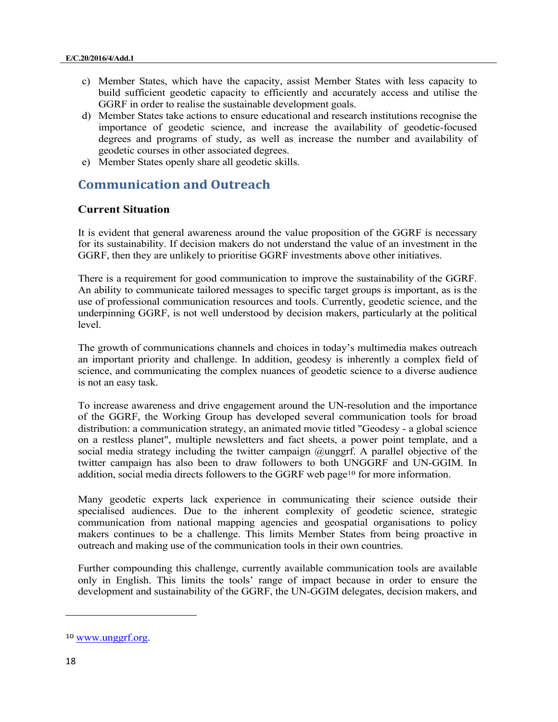- c) Member States, which have the capacity, assist Member States with less capacity to build sufficient geodetic capacity to efficiently and accurately access and utilise the GGRF in order to realise the sustainable development goals.
- d) Member States take actions to ensure educational and research institutions recognise the importance of geodetic science, and increase the availability of geodetic-focused degrees and programs of study, as well as increase the number and availability of geodetic courses in other associated degrees.
- e) Member States openly share all geodetic skills.

## **Communication and Outreach**

#### **Current Situation**

It is evident that general awareness around the value proposition of the GGRF is necessary for its sustainability. If decision makers do not understand the value of an investment in the GGRF, then they are unlikely to prioritise GGRF investments above other initiatives.

There is a requirement for good communication to improve the sustainability of the GGRF. An ability to communicate tailored messages to specific target groups is important, as is the use of professional communication resources and tools. Currently, geodetic science, and the underpinning GGRF, is not well understood by decision makers, particularly at the political level.

The growth of communications channels and choices in today's multimedia makes outreach an important priority and challenge. In addition, geodesy is inherently a complex field of science, and communicating the complex nuances of geodetic science to a diverse audience is not an easy task.

To increase awareness and drive engagement around the UN-resolution and the importance of the GGRF, the Working Group has developed several communication tools for broad distribution: a communication strategy, an animated movie titled "Geodesy - a global science on a restless planet", multiple newsletters and fact sheets, a power point template, and a social media strategy including the twitter campaign @unggrf. A parallel objective of the twitter campaign has also been to draw followers to both UNGGRF and UN-GGIM. In addition, social media directs followers to the GGRF web page10 for more information.

Many geodetic experts lack experience in communicating their science outside their specialised audiences. Due to the inherent complexity of geodetic science, strategic communication from national mapping agencies and geospatial organisations to policy makers continues to be a challenge. This limits Member States from being proactive in outreach and making use of the communication tools in their own countries.

Further compounding this challenge, currently available communication tools are available only in English. This limits the tools' range of impact because in order to ensure the development and sustainability of the GGRF, the UN-GGIM delegates, decision makers, and

<sup>10</sup> www.unggrf.org.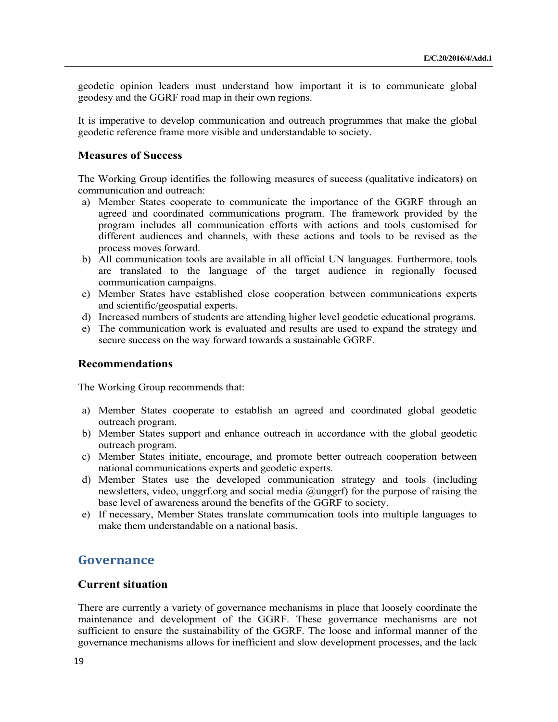geodetic opinion leaders must understand how important it is to communicate global geodesy and the GGRF road map in their own regions.

It is imperative to develop communication and outreach programmes that make the global geodetic reference frame more visible and understandable to society.

#### **Measures of Success**

The Working Group identifies the following measures of success (qualitative indicators) on communication and outreach:

- a) Member States cooperate to communicate the importance of the GGRF through an agreed and coordinated communications program. The framework provided by the program includes all communication efforts with actions and tools customised for different audiences and channels, with these actions and tools to be revised as the process moves forward.
- b) All communication tools are available in all official UN languages. Furthermore, tools are translated to the language of the target audience in regionally focused communication campaigns.
- c) Member States have established close cooperation between communications experts and scientific/geospatial experts.
- d) Increased numbers of students are attending higher level geodetic educational programs.
- e) The communication work is evaluated and results are used to expand the strategy and secure success on the way forward towards a sustainable GGRF.

#### **Recommendations**

The Working Group recommends that:

- a) Member States cooperate to establish an agreed and coordinated global geodetic outreach program.
- b) Member States support and enhance outreach in accordance with the global geodetic outreach program.
- c) Member States initiate, encourage, and promote better outreach cooperation between national communications experts and geodetic experts.
- d) Member States use the developed communication strategy and tools (including newsletters, video, unggrf.org and social media @unggrf) for the purpose of raising the base level of awareness around the benefits of the GGRF to society.
- e) If necessary, Member States translate communication tools into multiple languages to make them understandable on a national basis.

## **Governance**

#### **Current situation**

There are currently a variety of governance mechanisms in place that loosely coordinate the maintenance and development of the GGRF. These governance mechanisms are not sufficient to ensure the sustainability of the GGRF. The loose and informal manner of the governance mechanisms allows for inefficient and slow development processes, and the lack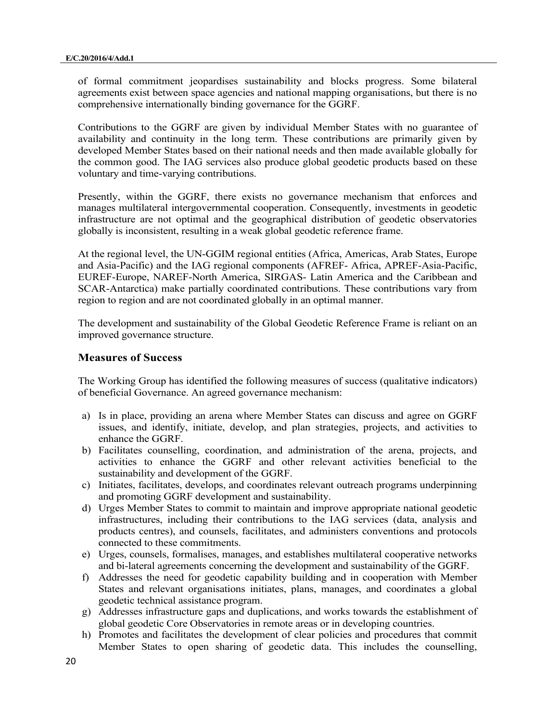of formal commitment jeopardises sustainability and blocks progress. Some bilateral agreements exist between space agencies and national mapping organisations, but there is no comprehensive internationally binding governance for the GGRF.

Contributions to the GGRF are given by individual Member States with no guarantee of availability and continuity in the long term. These contributions are primarily given by developed Member States based on their national needs and then made available globally for the common good. The IAG services also produce global geodetic products based on these voluntary and time-varying contributions.

Presently, within the GGRF, there exists no governance mechanism that enforces and manages multilateral intergovernmental cooperation. Consequently, investments in geodetic infrastructure are not optimal and the geographical distribution of geodetic observatories globally is inconsistent, resulting in a weak global geodetic reference frame.

At the regional level, the UN-GGIM regional entities (Africa, Americas, Arab States, Europe and Asia-Pacific) and the IAG regional components (AFREF- Africa, APREF-Asia-Pacific, EUREF-Europe, NAREF-North America, SIRGAS- Latin America and the Caribbean and SCAR-Antarctica) make partially coordinated contributions. These contributions vary from region to region and are not coordinated globally in an optimal manner.

The development and sustainability of the Global Geodetic Reference Frame is reliant on an improved governance structure.

#### **Measures of Success**

The Working Group has identified the following measures of success (qualitative indicators) of beneficial Governance. An agreed governance mechanism:

- a) Is in place, providing an arena where Member States can discuss and agree on GGRF issues, and identify, initiate, develop, and plan strategies, projects, and activities to enhance the GGRF.
- b) Facilitates counselling, coordination, and administration of the arena, projects, and activities to enhance the GGRF and other relevant activities beneficial to the sustainability and development of the GGRF.
- c) Initiates, facilitates, develops, and coordinates relevant outreach programs underpinning and promoting GGRF development and sustainability.
- d) Urges Member States to commit to maintain and improve appropriate national geodetic infrastructures, including their contributions to the IAG services (data, analysis and products centres), and counsels, facilitates, and administers conventions and protocols connected to these commitments.
- e) Urges, counsels, formalises, manages, and establishes multilateral cooperative networks and bi-lateral agreements concerning the development and sustainability of the GGRF.
- f) Addresses the need for geodetic capability building and in cooperation with Member States and relevant organisations initiates, plans, manages, and coordinates a global geodetic technical assistance program.
- g) Addresses infrastructure gaps and duplications, and works towards the establishment of global geodetic Core Observatories in remote areas or in developing countries.
- h) Promotes and facilitates the development of clear policies and procedures that commit Member States to open sharing of geodetic data. This includes the counselling,